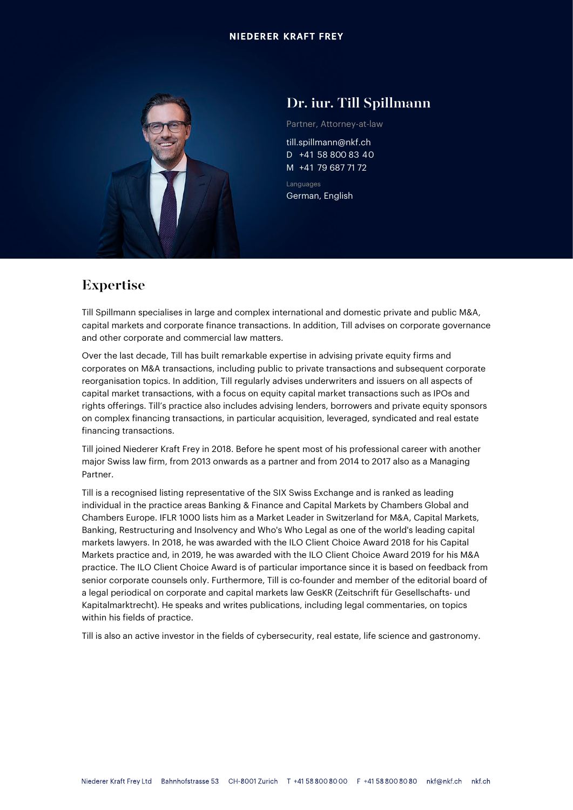#### **NIEDERER KRAFT FREY**



## Dr. iur. Till Spillmann

Partner, Attorney-at-law

till.spillmann@nkf.ch D +41 58 800 83 40 M +41 79 687 71 72

Languages German, English

# Expertise

Till Spillmann specialises in large and complex international and domestic private and public M&A, capital markets and corporate finance transactions. In addition, Till advises on corporate governance and other corporate and commercial law matters.

Over the last decade, Till has built remarkable expertise in advising private equity firms and corporates on M&A transactions, including public to private transactions and subsequent corporate reorganisation topics. In addition, Till regularly advises underwriters and issuers on all aspects of capital market transactions, with a focus on equity capital market transactions such as IPOs and rights offerings. Till's practice also includes advising lenders, borrowers and private equity sponsors on complex financing transactions, in particular acquisition, leveraged, syndicated and real estate financing transactions.

Till joined Niederer Kraft Frey in 2018. Before he spent most of his professional career with another major Swiss law firm, from 2013 onwards as a partner and from 2014 to 2017 also as a Managing Partner.

Till is a recognised listing representative of the SIX Swiss Exchange and is ranked as leading individual in the practice areas Banking & Finance and Capital Markets by Chambers Global and Chambers Europe. IFLR 1000 lists him as a Market Leader in Switzerland for M&A, Capital Markets, Banking, Restructuring and Insolvency and Who's Who Legal as one of the world's leading capital markets lawyers. In 2018, he was awarded with the ILO Client Choice Award 2018 for his Capital Markets practice and, in 2019, he was awarded with the ILO Client Choice Award 2019 for his M&A practice. The ILO Client Choice Award is of particular importance since it is based on feedback from senior corporate counsels only. Furthermore, Till is co-founder and member of the editorial board of a legal periodical on corporate and capital markets law GesKR (Zeitschrift für Gesellschafts- und Kapitalmarktrecht). He speaks and writes publications, including legal commentaries, on topics within his fields of practice.

Till is also an active investor in the fields of cybersecurity, real estate, life science and gastronomy.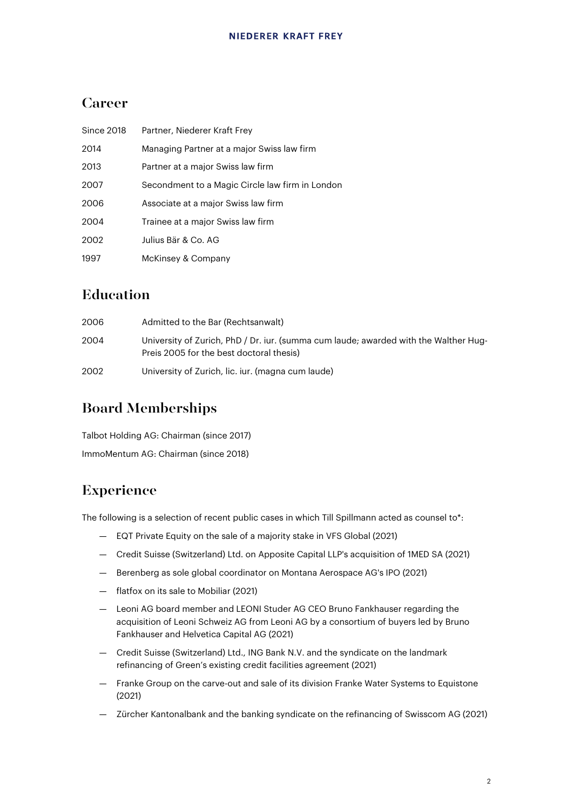# Career

| Since 2018 | Partner, Niederer Kraft Frey                    |
|------------|-------------------------------------------------|
| 2014       | Managing Partner at a major Swiss law firm      |
| 2013       | Partner at a major Swiss law firm               |
| 2007       | Secondment to a Magic Circle law firm in London |
| 2006       | Associate at a major Swiss law firm             |
| 2004       | Trainee at a major Swiss law firm               |
| 2002       | Julius Bär & Co. AG                             |
| 1997       | McKinsey & Company                              |

# Education

| 2006 | Admitted to the Bar (Rechtsanwalt)                                                                                               |
|------|----------------------------------------------------------------------------------------------------------------------------------|
| 2004 | University of Zurich, PhD / Dr. iur. (summa cum laude; awarded with the Walther Hug-<br>Preis 2005 for the best doctoral thesis) |
| 2002 | University of Zurich, lic. iur. (magna cum laude)                                                                                |

# Board Memberships

Talbot Holding AG: Chairman (since 2017) ImmoMentum AG: Chairman (since 2018)

# Experience

The following is a selection of recent public cases in which Till Spillmann acted as counsel to\*:

- EQT Private Equity on the sale of a majority stake in VFS Global (2021)
- Credit Suisse (Switzerland) Ltd. on Apposite Capital LLP's acquisition of 1MED SA (2021)
- Berenberg as sole global coordinator on Montana Aerospace AG's IPO (2021)
- flatfox on its sale to Mobiliar (2021)
- Leoni AG board member and LEONI Studer AG CEO Bruno Fankhauser regarding the acquisition of Leoni Schweiz AG from Leoni AG by a consortium of buyers led by Bruno Fankhauser and Helvetica Capital AG (2021)
- Credit Suisse (Switzerland) Ltd., ING Bank N.V. and the syndicate on the landmark refinancing of Green's existing credit facilities agreement (2021)
- Franke Group on the carve-out and sale of its division Franke Water Systems to Equistone (2021)
- Zürcher Kantonalbank and the banking syndicate on the refinancing of Swisscom AG (2021)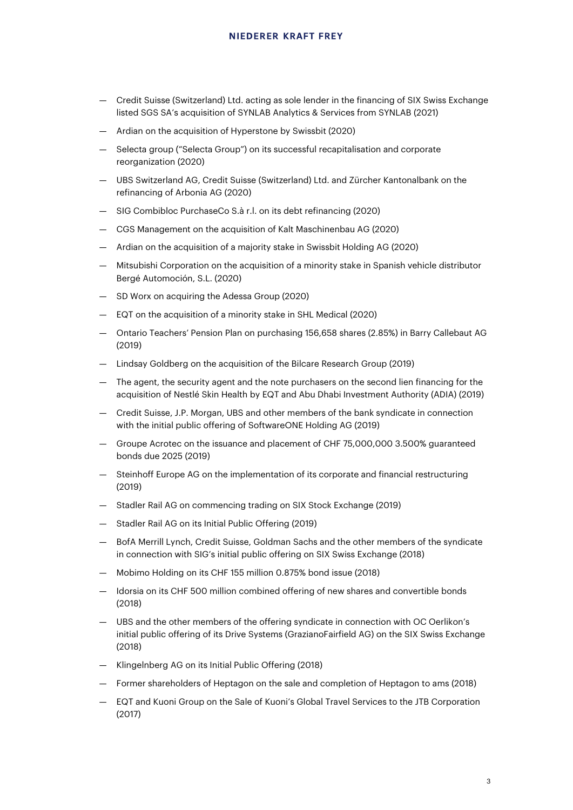- Credit Suisse (Switzerland) Ltd. acting as sole lender in the financing of SIX Swiss Exchange listed SGS SA's acquisition of SYNLAB Analytics & Services from SYNLAB (2021)
- Ardian on the acquisition of Hyperstone by Swissbit (2020)
- Selecta group ("Selecta Group") on its successful recapitalisation and corporate reorganization (2020)
- UBS Switzerland AG, Credit Suisse (Switzerland) Ltd. and Zürcher Kantonalbank on the refinancing of Arbonia AG (2020)
- SIG Combibloc PurchaseCo S.à r.l. on its debt refinancing (2020)
- CGS Management on the acquisition of Kalt Maschinenbau AG (2020)
- Ardian on the acquisition of a majority stake in Swissbit Holding AG (2020)
- Mitsubishi Corporation on the acquisition of a minority stake in Spanish vehicle distributor Bergé Automoción, S.L. (2020)
- SD Worx on acquiring the Adessa Group (2020)
- EQT on the acquisition of a minority stake in SHL Medical (2020)
- Ontario Teachers' Pension Plan on purchasing 156,658 shares (2.85%) in Barry Callebaut AG (2019)
- Lindsay Goldberg on the acquisition of the Bilcare Research Group (2019)
- The agent, the security agent and the note purchasers on the second lien financing for the acquisition of Nestlé Skin Health by EQT and Abu Dhabi Investment Authority (ADIA) (2019)
- Credit Suisse, J.P. Morgan, UBS and other members of the bank syndicate in connection with the initial public offering of SoftwareONE Holding AG (2019)
- Groupe Acrotec on the issuance and placement of CHF 75,000,000 3.500% guaranteed bonds due 2025 (2019)
- Steinhoff Europe AG on the implementation of its corporate and financial restructuring (2019)
- Stadler Rail AG on commencing trading on SIX Stock Exchange (2019)
- Stadler Rail AG on its Initial Public Offering (2019)
- BofA Merrill Lynch, Credit Suisse, Goldman Sachs and the other members of the syndicate in connection with SIG's initial public offering on SIX Swiss Exchange (2018)
- Mobimo Holding on its CHF 155 million 0.875% bond issue (2018)
- Idorsia on its CHF 500 million combined offering of new shares and convertible bonds (2018)
- UBS and the other members of the offering syndicate in connection with OC Oerlikon's initial public offering of its Drive Systems (GrazianoFairfield AG) on the SIX Swiss Exchange (2018)
- Klingelnberg AG on its Initial Public Offering (2018)
- Former shareholders of Heptagon on the sale and completion of Heptagon to ams (2018)
- EQT and Kuoni Group on the Sale of Kuoni's Global Travel Services to the JTB Corporation (2017)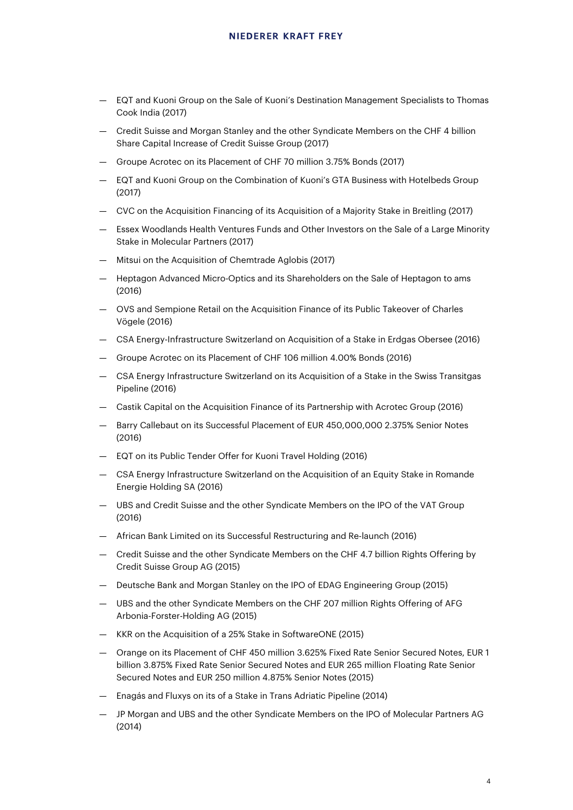- EQT and Kuoni Group on the Sale of Kuoni's Destination Management Specialists to Thomas Cook India (2017)
- Credit Suisse and Morgan Stanley and the other Syndicate Members on the CHF 4 billion Share Capital Increase of Credit Suisse Group (2017)
- Groupe Acrotec on its Placement of CHF 70 million 3.75% Bonds (2017)
- EQT and Kuoni Group on the Combination of Kuoni's GTA Business with Hotelbeds Group (2017)
- CVC on the Acquisition Financing of its Acquisition of a Majority Stake in Breitling (2017)
- Essex Woodlands Health Ventures Funds and Other Investors on the Sale of a Large Minority Stake in Molecular Partners (2017)
- Mitsui on the Acquisition of Chemtrade Aglobis (2017)
- Heptagon Advanced Micro-Optics and its Shareholders on the Sale of Heptagon to ams (2016)
- OVS and Sempione Retail on the Acquisition Finance of its Public Takeover of Charles Vögele (2016)
- CSA Energy-Infrastructure Switzerland on Acquisition of a Stake in Erdgas Obersee (2016)
- Groupe Acrotec on its Placement of CHF 106 million 4.00% Bonds (2016)
- CSA Energy Infrastructure Switzerland on its Acquisition of a Stake in the Swiss Transitgas Pipeline (2016)
- Castik Capital on the Acquisition Finance of its Partnership with Acrotec Group (2016)
- Barry Callebaut on its Successful Placement of EUR 450,000,000 2.375% Senior Notes (2016)
- EQT on its Public Tender Offer for Kuoni Travel Holding (2016)
- CSA Energy Infrastructure Switzerland on the Acquisition of an Equity Stake in Romande Energie Holding SA (2016)
- UBS and Credit Suisse and the other Syndicate Members on the IPO of the VAT Group (2016)
- African Bank Limited on its Successful Restructuring and Re-launch (2016)
- Credit Suisse and the other Syndicate Members on the CHF 4.7 billion Rights Offering by Credit Suisse Group AG (2015)
- Deutsche Bank and Morgan Stanley on the IPO of EDAG Engineering Group (2015)
- UBS and the other Syndicate Members on the CHF 207 million Rights Offering of AFG Arbonia-Forster-Holding AG (2015)
- KKR on the Acquisition of a 25% Stake in SoftwareONE (2015)
- Orange on its Placement of CHF 450 million 3.625% Fixed Rate Senior Secured Notes, EUR 1 billion 3.875% Fixed Rate Senior Secured Notes and EUR 265 million Floating Rate Senior Secured Notes and EUR 250 million 4.875% Senior Notes (2015)
- Enagás and Fluxys on its of a Stake in Trans Adriatic Pipeline (2014)
- JP Morgan and UBS and the other Syndicate Members on the IPO of Molecular Partners AG (2014)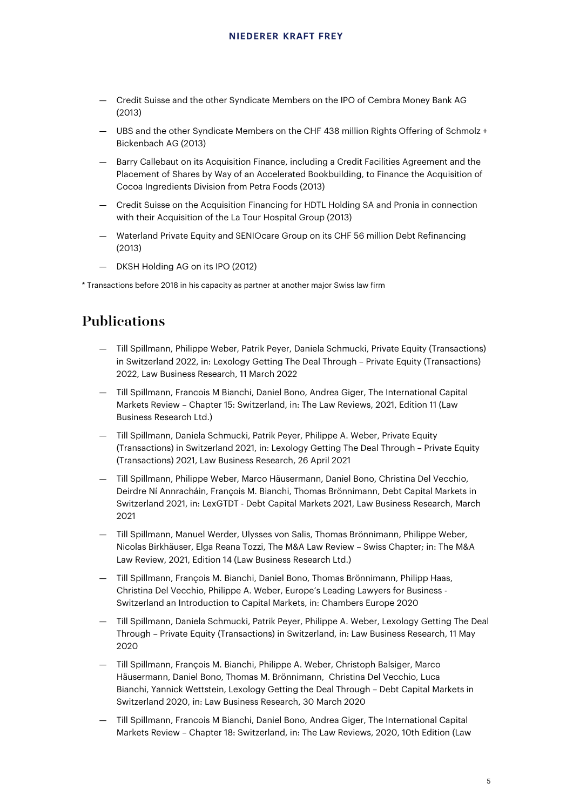- Credit Suisse and the other Syndicate Members on the IPO of Cembra Money Bank AG (2013)
- UBS and the other Syndicate Members on the CHF 438 million Rights Offering of Schmolz + Bickenbach AG (2013)
- Barry Callebaut on its Acquisition Finance, including a Credit Facilities Agreement and the Placement of Shares by Way of an Accelerated Bookbuilding, to Finance the Acquisition of Cocoa Ingredients Division from Petra Foods (2013)
- Credit Suisse on the Acquisition Financing for HDTL Holding SA and Pronia in connection with their Acquisition of the La Tour Hospital Group (2013)
- Waterland Private Equity and SENIOcare Group on its CHF 56 million Debt Refinancing (2013)
- DKSH Holding AG on its IPO (2012)

\* Transactions before 2018 in his capacity as partner at another major Swiss law firm

### Publications

- Till Spillmann, Philippe Weber, Patrik Peyer, Daniela Schmucki, Private Equity (Transactions) in Switzerland 2022, in: Lexology Getting The Deal Through – Private Equity (Transactions) 2022, Law Business Research, 11 March 2022
- Till Spillmann, Francois M Bianchi, Daniel Bono, Andrea Giger, The International Capital Markets Review – Chapter 15: Switzerland, in: The Law Reviews, 2021, Edition 11 (Law Business Research Ltd.)
- Till Spillmann, Daniela Schmucki, Patrik Peyer, Philippe A. Weber, Private Equity (Transactions) in Switzerland 2021, in: Lexology Getting The Deal Through – Private Equity (Transactions) 2021, Law Business Research, 26 April 2021
- Till Spillmann, Philippe Weber, Marco Häusermann, Daniel Bono, Christina Del Vecchio, Deirdre Ní Annracháin, François M. Bianchi, Thomas Brönnimann, Debt Capital Markets in Switzerland 2021, in: LexGTDT - Debt Capital Markets 2021, Law Business Research, March 2021
- Till Spillmann, Manuel Werder, Ulysses von Salis, Thomas Brönnimann, Philippe Weber, Nicolas Birkhäuser, Elga Reana Tozzi, The M&A Law Review – Swiss Chapter; in: The M&A Law Review, 2021, Edition 14 (Law Business Research Ltd.)
- Till Spillmann, François M. Bianchi, Daniel Bono, Thomas Brönnimann, Philipp Haas, Christina Del Vecchio, Philippe A. Weber, Europe's Leading Lawyers for Business - Switzerland an Introduction to Capital Markets, in: Chambers Europe 2020
- Till Spillmann, Daniela Schmucki, Patrik Peyer, Philippe A. Weber, Lexology Getting The Deal Through – Private Equity (Transactions) in Switzerland, in: Law Business Research, 11 May 2020
- [Till Spillmann,](https://www.nkf.ch/team/till-spillmann/) [François M. Bianchi,](https://www.nkf.ch/team/francois-bianchi/) [Philippe A. Weber,](https://www.nkf.ch/team/philippe-weber/) [Christoph Balsiger,](https://www.nkf.ch/team/christoph-balsiger/) [Marco](https://www.nkf.ch/team/marco-haeusermann/)  [Häusermann,](https://www.nkf.ch/team/marco-haeusermann/) [Daniel Bono,](https://www.nkf.ch/team/daniel-bono/) [Thomas M. Brönnimann,](https://www.nkf.ch/team/thomas-broennimann/) [Christina Del Vecchio,](https://www.nkf.ch/team/christina-del-vecchio/) [Luca](https://www.nkf.ch/team/luca-bianchi/)  [Bianchi,](https://www.nkf.ch/team/luca-bianchi/) [Yannick Wettstein,](https://www.nkf.ch/team/yannick-wettstein/) Lexology Getting the Deal Through – Debt Capital Markets in Switzerland 2020, in: Law Business Research, 30 March 2020
- Till Spillmann, Francois M Bianchi, Daniel Bono, Andrea Giger, The International Capital Markets Review – Chapter 18: Switzerland, in: The Law Reviews, 2020, 10th Edition (Law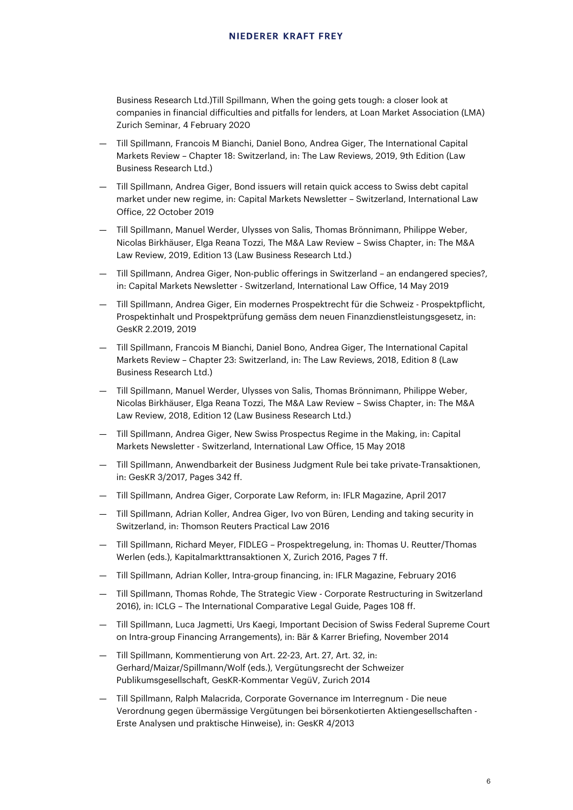Business Research Ltd.)Till Spillmann, When the going gets tough: a closer look at companies in financial difficulties and pitfalls for lenders, at Loan Market Association (LMA) Zurich Seminar, 4 February 2020

- Till Spillmann, Francois M Bianchi, Daniel Bono, Andrea Giger, The International Capital Markets Review – Chapter 18: Switzerland, in: The Law Reviews, 2019, 9th Edition (Law Business Research Ltd.)
- Till Spillmann, Andrea Giger, Bond issuers will retain quick access to Swiss debt capital market under new regime, in: Capital Markets Newsletter – Switzerland, International Law Office, 22 October 2019
- Till Spillmann, Manuel Werder, Ulysses von Salis, Thomas Brönnimann, Philippe Weber, Nicolas Birkhäuser, Elga Reana Tozzi, The M&A Law Review – Swiss Chapter, in: The M&A Law Review, 2019, Edition 13 (Law Business Research Ltd.)
- Till Spillmann, Andrea Giger, Non-public offerings in Switzerland an endangered species?, in: Capital Markets Newsletter - Switzerland, International Law Office, 14 May 2019
- Till Spillmann, Andrea Giger, Ein modernes Prospektrecht für die Schweiz Prospektpflicht, Prospektinhalt und Prospektprüfung gemäss dem neuen Finanzdienstleistungsgesetz, in: GesKR 2.2019, 2019
- Till Spillmann, Francois M Bianchi, Daniel Bono, Andrea Giger, The International Capital Markets Review – Chapter 23: Switzerland, in: The Law Reviews, 2018, Edition 8 (Law Business Research Ltd.)
- Till Spillmann, Manuel Werder, Ulysses von Salis, Thomas Brönnimann, Philippe Weber, Nicolas Birkhäuser, Elga Reana Tozzi, The M&A Law Review – Swiss Chapter, in: The M&A Law Review, 2018, Edition 12 (Law Business Research Ltd.)
- Till Spillmann, Andrea Giger, New Swiss Prospectus Regime in the Making, in: Capital Markets Newsletter - Switzerland, International Law Office, 15 May 2018
- Till Spillmann, Anwendbarkeit der Business Judgment Rule bei take private-Transaktionen, in: GesKR 3/2017, Pages 342 ff.
- Till Spillmann, Andrea Giger, Corporate Law Reform, in: IFLR Magazine, April 2017
- Till Spillmann, Adrian Koller, Andrea Giger, Ivo von Büren, Lending and taking security in Switzerland, in: Thomson Reuters Practical Law 2016
- Till Spillmann, Richard Meyer, FIDLEG Prospektregelung, in: Thomas U. Reutter/Thomas Werlen (eds.), Kapitalmarkttransaktionen X, Zurich 2016, Pages 7 ff.
- Till Spillmann, Adrian Koller, Intra-group financing, in: IFLR Magazine, February 2016
- Till Spillmann, Thomas Rohde, The Strategic View Corporate Restructuring in Switzerland 2016), in: ICLG – The International Comparative Legal Guide, Pages 108 ff.
- Till Spillmann, Luca Jagmetti, Urs Kaegi, Important Decision of Swiss Federal Supreme Court on Intra-group Financing Arrangements), in: Bär & Karrer Briefing, November 2014
- Till Spillmann, Kommentierung von Art. 22-23, Art. 27, Art. 32, in: Gerhard/Maizar/Spillmann/Wolf (eds.), Vergütungsrecht der Schweizer Publikumsgesellschaft, GesKR-Kommentar VegüV, Zurich 2014
- Till Spillmann, Ralph Malacrida, Corporate Governance im Interregnum Die neue Verordnung gegen übermässige Vergütungen bei börsenkotierten Aktiengesellschaften - Erste Analysen und praktische Hinweise), in: GesKR 4/2013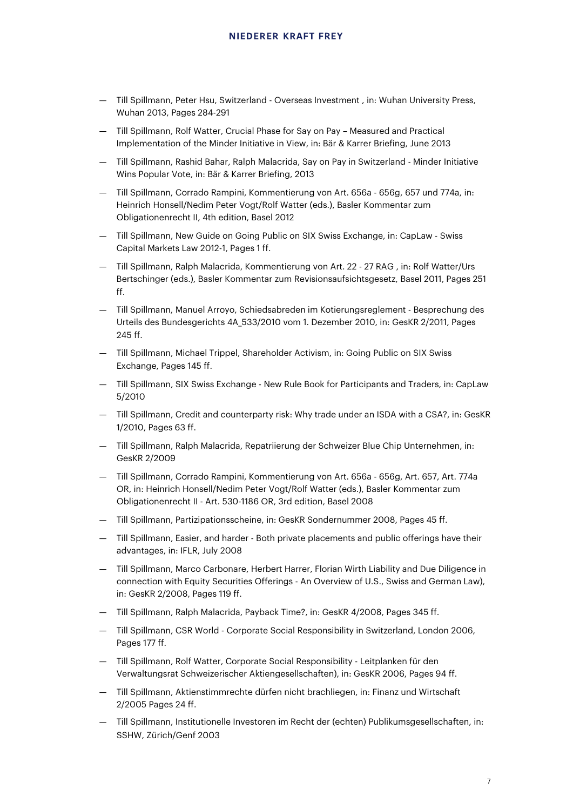- Till Spillmann, Peter Hsu, Switzerland Overseas Investment , in: Wuhan University Press, Wuhan 2013, Pages 284-291
- Till Spillmann, Rolf Watter, Crucial Phase for Say on Pay Measured and Practical Implementation of the Minder Initiative in View, in: Bär & Karrer Briefing, June 2013
- Till Spillmann, Rashid Bahar, Ralph Malacrida, Say on Pay in Switzerland Minder Initiative Wins Popular Vote, in: Bär & Karrer Briefing, 2013
- Till Spillmann, Corrado Rampini, Kommentierung von Art. 656a 656g, 657 und 774a, in: Heinrich Honsell/Nedim Peter Vogt/Rolf Watter (eds.), Basler Kommentar zum Obligationenrecht II, 4th edition, Basel 2012
- Till Spillmann, New Guide on Going Public on SIX Swiss Exchange, in: CapLaw Swiss Capital Markets Law 2012-1, Pages 1 ff.
- Till Spillmann, Ralph Malacrida, Kommentierung von Art. 22 27 RAG , in: Rolf Watter/Urs Bertschinger (eds.), Basler Kommentar zum Revisionsaufsichtsgesetz, Basel 2011, Pages 251 ff.
- Till Spillmann, Manuel Arroyo, Schiedsabreden im Kotierungsreglement Besprechung des Urteils des Bundesgerichts 4A\_533/2010 vom 1. Dezember 2010, in: GesKR 2/2011, Pages 245 ff.
- Till Spillmann, Michael Trippel, Shareholder Activism, in: Going Public on SIX Swiss Exchange, Pages 145 ff.
- Till Spillmann, SIX Swiss Exchange New Rule Book for Participants and Traders, in: CapLaw 5/2010
- Till Spillmann, Credit and counterparty risk: Why trade under an ISDA with a CSA?, in: GesKR 1/2010, Pages 63 ff.
- Till Spillmann, Ralph Malacrida, Repatriierung der Schweizer Blue Chip Unternehmen, in: GesKR 2/2009
- Till Spillmann, Corrado Rampini, Kommentierung von Art. 656a 656g, Art. 657, Art. 774a OR, in: Heinrich Honsell/Nedim Peter Vogt/Rolf Watter (eds.), Basler Kommentar zum Obligationenrecht II - Art. 530-1186 OR, 3rd edition, Basel 2008
- Till Spillmann, Partizipationsscheine, in: GesKR Sondernummer 2008, Pages 45 ff.
- Till Spillmann, Easier, and harder Both private placements and public offerings have their advantages, in: IFLR, July 2008
- Till Spillmann, Marco Carbonare, Herbert Harrer, Florian Wirth Liability and Due Diligence in connection with Equity Securities Offerings - An Overview of U.S., Swiss and German Law), in: GesKR 2/2008, Pages 119 ff.
- Till Spillmann, Ralph Malacrida, Payback Time?, in: GesKR 4/2008, Pages 345 ff.
- Till Spillmann, CSR World Corporate Social Responsibility in Switzerland, London 2006, Pages 177 ff.
- Till Spillmann, Rolf Watter, Corporate Social Responsibility Leitplanken für den Verwaltungsrat Schweizerischer Aktiengesellschaften), in: GesKR 2006, Pages 94 ff.
- Till Spillmann, Aktienstimmrechte dürfen nicht brachliegen, in: Finanz und Wirtschaft 2/2005 Pages 24 ff.
- Till Spillmann, Institutionelle Investoren im Recht der (echten) Publikumsgesellschaften, in: SSHW, Zürich/Genf 2003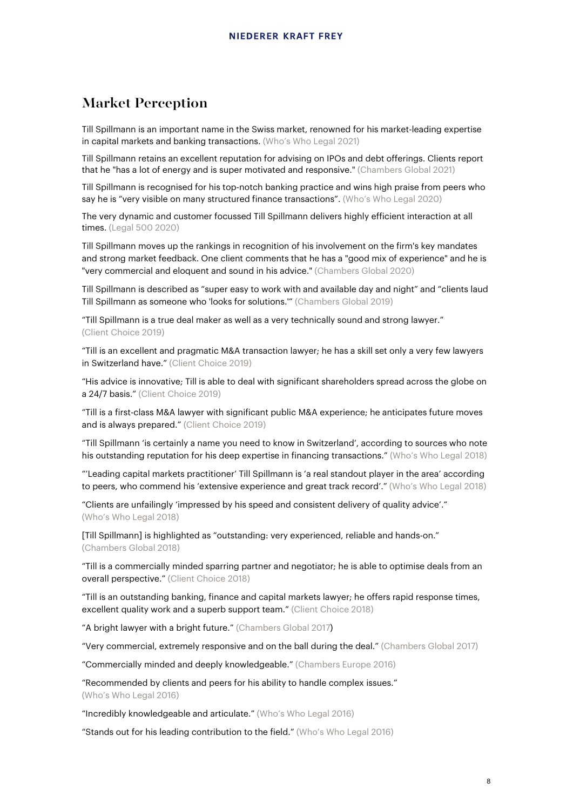## Market Perception

Till Spillmann is an important name in the Swiss market, renowned for his market-leading expertise in capital markets and banking transactions. (Who's Who Legal 2021)

Till Spillmann retains an excellent reputation for advising on IPOs and debt offerings. Clients report that he "has a lot of energy and is super motivated and responsive." (Chambers Global 2021)

Till Spillmann is recognised for his top-notch banking practice and wins high praise from peers who say he is "very visible on many structured finance transactions". (Who's Who Legal 2020)

The very dynamic and customer focussed Till Spillmann delivers highly efficient interaction at all times. (Legal 500 2020)

Till Spillmann moves up the rankings in recognition of his involvement on the firm's key mandates and strong market feedback. One client comments that he has a "good mix of experience" and he is "very commercial and eloquent and sound in his advice." (Chambers Global 2020)

Till Spillmann is described as "super easy to work with and available day and night" and "clients laud Till Spillmann as someone who 'looks for solutions.'" (Chambers Global 2019)

"Till Spillmann is a true deal maker as well as a very technically sound and strong lawyer." (Client Choice 2019)

"Till is an excellent and pragmatic M&A transaction lawyer; he has a skill set only a very few lawyers in Switzerland have." (Client Choice 2019)

"His advice is innovative; Till is able to deal with significant shareholders spread across the globe on a 24/7 basis." (Client Choice 2019)

"Till is a first-class M&A lawyer with significant public M&A experience; he anticipates future moves and is always prepared." (Client Choice 2019)

"Till Spillmann 'is certainly a name you need to know in Switzerland', according to sources who note his outstanding reputation for his deep expertise in financing transactions." (Who's Who Legal 2018)

"'Leading capital markets practitioner' Till Spillmann is 'a real standout player in the area' according to peers, who commend his 'extensive experience and great track record'." (Who's Who Legal 2018)

"Clients are unfailingly 'impressed by his speed and consistent delivery of quality advice'." (Who's Who Legal 2018)

[Till Spillmann] is highlighted as "outstanding: very experienced, reliable and hands-on." (Chambers Global 2018)

"Till is a commercially minded sparring partner and negotiator; he is able to optimise deals from an overall perspective." (Client Choice 2018)

"Till is an outstanding banking, finance and capital markets lawyer; he offers rapid response times, excellent quality work and a superb support team." (Client Choice 2018)

"A bright lawyer with a bright future." (Chambers Global 2017)

"Very commercial, extremely responsive and on the ball during the deal." (Chambers Global 2017)

"Commercially minded and deeply knowledgeable." (Chambers Europe 2016)

"Recommended by clients and peers for his ability to handle complex issues." (Who's Who Legal 2016)

"Incredibly knowledgeable and articulate." (Who's Who Legal 2016)

"Stands out for his leading contribution to the field." (Who's Who Legal 2016)